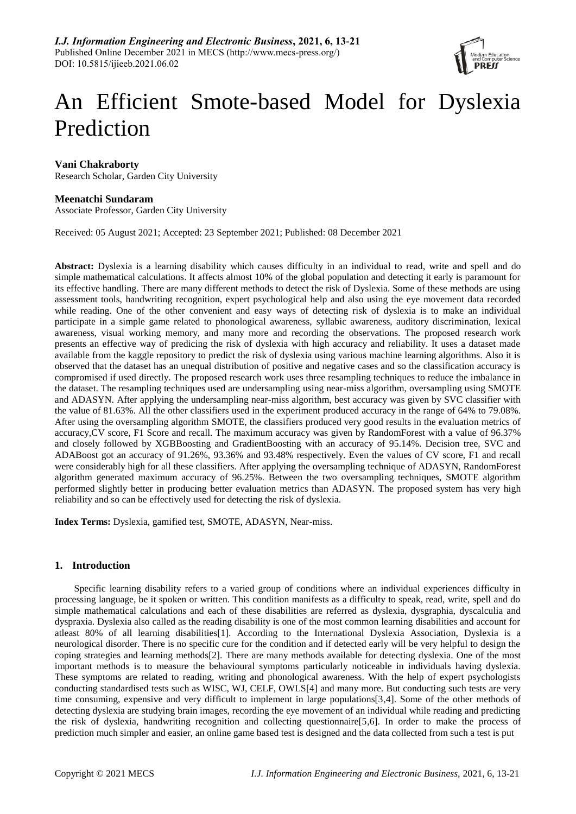

# An Efficient Smote-based Model for Dyslexia Prediction

## **Vani Chakraborty**

Research Scholar, Garden City University

## **Meenatchi Sundaram**

Associate Professor, Garden City University

Received: 05 August 2021; Accepted: 23 September 2021; Published: 08 December 2021

**Abstract:** Dyslexia is a learning disability which causes difficulty in an individual to read, write and spell and do simple mathematical calculations. It affects almost 10% of the global population and detecting it early is paramount for its effective handling. There are many different methods to detect the risk of Dyslexia. Some of these methods are using assessment tools, handwriting recognition, expert psychological help and also using the eye movement data recorded while reading. One of the other convenient and easy ways of detecting risk of dyslexia is to make an individual participate in a simple game related to phonological awareness, syllabic awareness, auditory discrimination, lexical awareness, visual working memory, and many more and recording the observations. The proposed research work presents an effective way of predicing the risk of dyslexia with high accuracy and reliability. It uses a dataset made available from the kaggle repository to predict the risk of dyslexia using various machine learning algorithms. Also it is observed that the dataset has an unequal distribution of positive and negative cases and so the classification accuracy is compromised if used directly. The proposed research work uses three resampling techniques to reduce the imbalance in the dataset. The resampling techniques used are undersampling using near-miss algorithm, oversampling using SMOTE and ADASYN. After applying the undersampling near-miss algorithm, best accuracy was given by SVC classifier with the value of 81.63%. All the other classifiers used in the experiment produced accuracy in the range of 64% to 79.08%. After using the oversampling algorithm SMOTE, the classifiers produced very good results in the evaluation metrics of accuracy,CV score, F1 Score and recall. The maximum accuracy was given by RandomForest with a value of 96.37% and closely followed by XGBBoosting and GradientBoosting with an accuracy of 95.14%. Decision tree, SVC and ADABoost got an accuracy of 91.26%, 93.36% and 93.48% respectively. Even the values of CV score, F1 and recall were considerably high for all these classifiers. After applying the oversampling technique of ADASYN, RandomForest algorithm generated maximum accuracy of 96.25%. Between the two oversampling techniques, SMOTE algorithm performed slightly better in producing better evaluation metrics than ADASYN. The proposed system has very high reliability and so can be effectively used for detecting the risk of dyslexia.

**Index Terms:** Dyslexia, gamified test, SMOTE, ADASYN, Near-miss.

## **1. Introduction**

Specific learning disability refers to a varied group of conditions where an individual experiences difficulty in processing language, be it spoken or written. This condition manifests as a difficulty to speak, read, write, spell and do simple mathematical calculations and each of these disabilities are referred as dyslexia, dysgraphia, dyscalculia and dyspraxia. Dyslexia also called as the reading disability is one of the most common learning disabilities and account for atleast 80% of all learning disabilities[1]. According to the International Dyslexia Association, Dyslexia is a neurological disorder. There is no specific cure for the condition and if detected early will be very helpful to design the coping strategies and learning methods[2]. There are many methods available for detecting dyslexia. One of the most important methods is to measure the behavioural symptoms particularly noticeable in individuals having dyslexia. These symptoms are related to reading, writing and phonological awareness. With the help of expert psychologists conducting standardised tests such as WISC, WJ, CELF, OWLS[4] and many more. But conducting such tests are very time consuming, expensive and very difficult to implement in large populations[3,4]. Some of the other methods of detecting dyslexia are studying brain images, recording the eye movement of an individual while reading and predicting the risk of dyslexia, handwriting recognition and collecting questionnaire[5,6]. In order to make the process of prediction much simpler and easier, an online game based test is designed and the data collected from such a test is put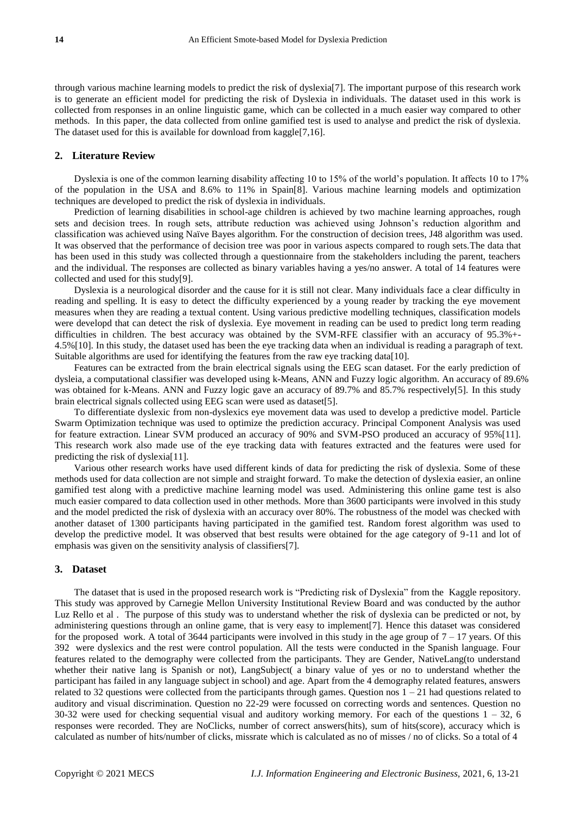through various machine learning models to predict the risk of dyslexia[7]. The important purpose of this research work is to generate an efficient model for predicting the risk of Dyslexia in individuals. The dataset used in this work is collected from responses in an online linguistic game, which can be collected in a much easier way compared to other methods. In this paper, the data collected from online gamified test is used to analyse and predict the risk of dyslexia. The dataset used for this is available for download from kaggle[7,16].

### **2. Literature Review**

Dyslexia is one of the common learning disability affecting 10 to 15% of the world"s population. It affects 10 to 17% of the population in the USA and 8.6% to 11% in Spain[8]. Various machine learning models and optimization techniques are developed to predict the risk of dyslexia in individuals.

Prediction of learning disabilities in school-age children is achieved by two machine learning approaches, rough sets and decision trees. In rough sets, attribute reduction was achieved using Johnson"s reduction algorithm and classification was achieved using Naïve Bayes algorithm. For the construction of decision trees, J48 algorithm was used. It was observed that the performance of decision tree was poor in various aspects compared to rough sets.The data that has been used in this study was collected through a questionnaire from the stakeholders including the parent, teachers and the individual. The responses are collected as binary variables having a yes/no answer. A total of 14 features were collected and used for this study[9].

Dyslexia is a neurological disorder and the cause for it is still not clear. Many individuals face a clear difficulty in reading and spelling. It is easy to detect the difficulty experienced by a young reader by tracking the eye movement measures when they are reading a textual content. Using various predictive modelling techniques, classification models were developd that can detect the risk of dyslexia. Eye movement in reading can be used to predict long term reading difficulties in children. The best accuracy was obtained by the SVM-RFE classifier with an accuracy of 95.3%+- 4.5%[10]. In this study, the dataset used has been the eye tracking data when an individual is reading a paragraph of text. Suitable algorithms are used for identifying the features from the raw eye tracking data[10].

Features can be extracted from the brain electrical signals using the EEG scan dataset. For the early prediction of dysleia, a computational classifier was developed using k-Means, ANN and Fuzzy logic algorithm. An accuracy of 89.6% was obtained for k-Means. ANN and Fuzzy logic gave an accuracy of 89.7% and 85.7% respectively[5]. In this study brain electrical signals collected using EEG scan were used as dataset[5].

To differentiate dyslexic from non-dyslexics eye movement data was used to develop a predictive model. Particle Swarm Optimization technique was used to optimize the prediction accuracy. Principal Component Analysis was used for feature extraction. Linear SVM produced an accuracy of 90% and SVM-PSO produced an accuracy of 95%[11]. This research work also made use of the eye tracking data with features extracted and the features were used for predicting the risk of dyslexia[11].

Various other research works have used different kinds of data for predicting the risk of dyslexia. Some of these methods used for data collection are not simple and straight forward. To make the detection of dyslexia easier, an online gamified test along with a predictive machine learning model was used. Administering this online game test is also much easier compared to data collection used in other methods. More than 3600 participants were involved in this study and the model predicted the risk of dyslexia with an accuracy over 80%. The robustness of the model was checked with another dataset of 1300 participants having participated in the gamified test. Random forest algorithm was used to develop the predictive model. It was observed that best results were obtained for the age category of 9-11 and lot of emphasis was given on the sensitivity analysis of classifiers[7].

#### **3. Dataset**

The dataset that is used in the proposed research work is "Predicting risk of Dyslexia" from the Kaggle repository. This study was approved by Carnegie Mellon University Institutional Review Board and was conducted by the author Luz Rello et al . The purpose of this study was to understand whether the risk of dyslexia can be predicted or not, by administering questions through an online game, that is very easy to implement[7]. Hence this dataset was considered for the proposed work. A total of 3644 participants were involved in this study in the age group of  $7 - 17$  years. Of this 392 were dyslexics and the rest were control population. All the tests were conducted in the Spanish language. Four features related to the demography were collected from the participants. They are Gender, NativeLang(to understand whether their native lang is Spanish or not), LangSubject( a binary value of yes or no to understand whether the participant has failed in any language subject in school) and age. Apart from the 4 demography related features, answers related to 32 questions were collected from the participants through games. Question nos  $1 - 21$  had questions related to auditory and visual discrimination. Question no 22-29 were focussed on correcting words and sentences. Question no 30-32 were used for checking sequential visual and auditory working memory. For each of the questions  $1 - 32$ , 6 responses were recorded. They are NoClicks, number of correct answers(hits), sum of hits(score), accuracy which is calculated as number of hits/number of clicks, missrate which is calculated as no of misses / no of clicks. So a total of 4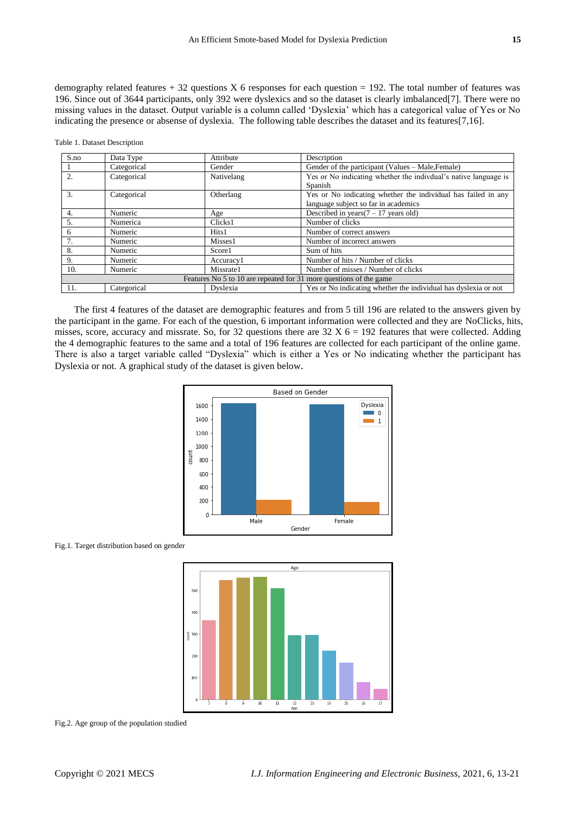demography related features  $+ 32$  questions X 6 responses for each question = 192. The total number of features was 196. Since out of 3644 participants, only 392 were dyslexics and so the dataset is clearly imbalanced[7]. There were no missing values in the dataset. Output variable is a column called "Dyslexia" which has a categorical value of Yes or No indicating the presence or absense of dyslexia. The following table describes the dataset and its features[7,16].

Table 1. Dataset Description

| S.no                                                               | Data Type   | Attribute  | Description                                                                                           |  |  |
|--------------------------------------------------------------------|-------------|------------|-------------------------------------------------------------------------------------------------------|--|--|
|                                                                    | Categorical | Gender     | Gender of the participant (Values – Male, Female)                                                     |  |  |
| 2.                                                                 | Categorical | Nativelang | Yes or No indicating whether the indivdual's native language is<br>Spanish                            |  |  |
| 3.                                                                 | Categorical | Otherlang  | Yes or No indicating whether the individual has failed in any<br>language subject so far in academics |  |  |
| 4.                                                                 | Numeric     | Age        | Described in years $(7 - 17)$ years old)                                                              |  |  |
| 5.                                                                 | Numerica    | Clicks1    | Number of clicks                                                                                      |  |  |
| 6                                                                  | Numeric     | Hits1      | Number of correct answers                                                                             |  |  |
| 7.                                                                 | Numeric     | Misses1    | Number of incorrect answers                                                                           |  |  |
| 8.                                                                 | Numeric     | Score1     | Sum of hits                                                                                           |  |  |
| 9.                                                                 | Numeric     | Accuracy1  | Number of hits / Number of clicks                                                                     |  |  |
| 10.                                                                | Numeric     | Missrate1  | Number of misses / Number of clicks                                                                   |  |  |
| Features No 5 to 10 are repeated for 31 more questions of the game |             |            |                                                                                                       |  |  |
| 11.                                                                | Categorical | Dyslexia   | Yes or No indicating whether the individual has dyslexia or not                                       |  |  |

The first 4 features of the dataset are demographic features and from 5 till 196 are related to the answers given by the participant in the game. For each of the question, 6 important information were collected and they are NoClicks, hits, misses, score, accuracy and missrate. So, for 32 questions there are  $32 \text{ X } 6 = 192$  features that were collected. Adding the 4 demographic features to the same and a total of 196 features are collected for each participant of the online game. There is also a target variable called "Dyslexia" which is either a Yes or No indicating whether the participant has Dyslexia or not. A graphical study of the dataset is given below.



Fig.1. Target distribution based on gender



Fig.2. Age group of the population studied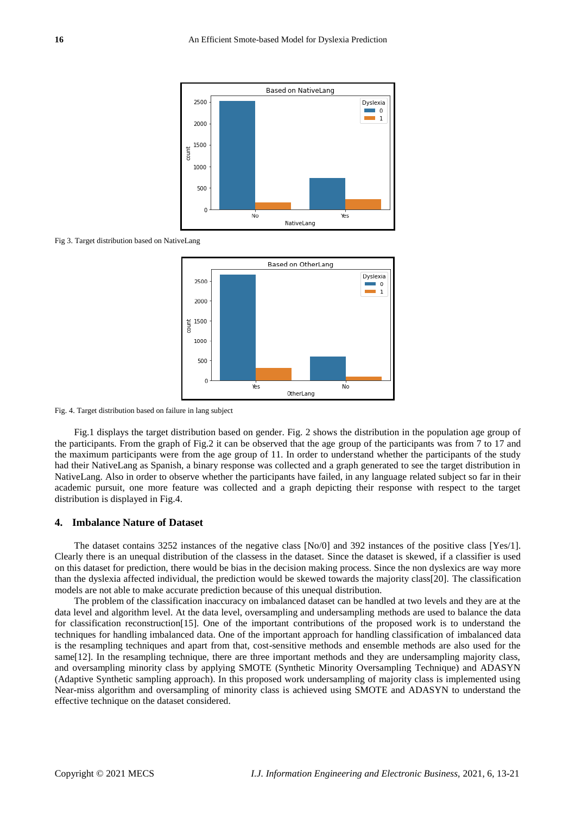

Fig 3. Target distribution based on NativeLang



Fig. 4. Target distribution based on failure in lang subject

Fig.1 displays the target distribution based on gender. Fig. 2 shows the distribution in the population age group of the participants. From the graph of Fig.2 it can be observed that the age group of the participants was from 7 to 17 and the maximum participants were from the age group of 11. In order to understand whether the participants of the study had their NativeLang as Spanish, a binary response was collected and a graph generated to see the target distribution in NativeLang. Also in order to observe whether the participants have failed, in any language related subject so far in their academic pursuit, one more feature was collected and a graph depicting their response with respect to the target distribution is displayed in Fig.4.

#### **4. Imbalance Nature of Dataset**

The dataset contains 3252 instances of the negative class [No/0] and 392 instances of the positive class [Yes/1]. Clearly there is an unequal distribution of the classess in the dataset. Since the dataset is skewed, if a classifier is used on this dataset for prediction, there would be bias in the decision making process. Since the non dyslexics are way more than the dyslexia affected individual, the prediction would be skewed towards the majority class[20]. The classification models are not able to make accurate prediction because of this unequal distribution.

The problem of the classification inaccuracy on imbalanced dataset can be handled at two levels and they are at the data level and algorithm level. At the data level, oversampling and undersampling methods are used to balance the data for classification reconstruction[15]. One of the important contributions of the proposed work is to understand the techniques for handling imbalanced data. One of the important approach for handling classification of imbalanced data is the resampling techniques and apart from that, cost-sensitive methods and ensemble methods are also used for the same [12]. In the resampling technique, there are three important methods and they are undersampling majority class, and oversampling minority class by applying SMOTE (Synthetic Minority Oversampling Technique) and ADASYN (Adaptive Synthetic sampling approach). In this proposed work undersampling of majority class is implemented using Near-miss algorithm and oversampling of minority class is achieved using SMOTE and ADASYN to understand the effective technique on the dataset considered.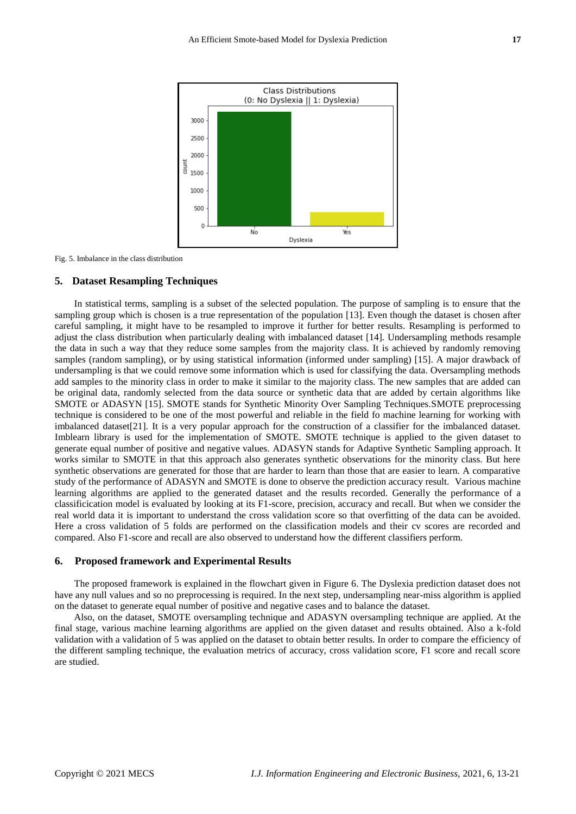

Fig. 5. Imbalance in the class distribution

#### **5. Dataset Resampling Techniques**

In statistical terms, sampling is a subset of the selected population. The purpose of sampling is to ensure that the sampling group which is chosen is a true representation of the population [13]. Even though the dataset is chosen after careful sampling, it might have to be resampled to improve it further for better results. Resampling is performed to adjust the class distribution when particularly dealing with imbalanced dataset [14]. Undersampling methods resample the data in such a way that they reduce some samples from the majority class. It is achieved by randomly removing samples (random sampling), or by using statistical information (informed under sampling) [15]. A major drawback of undersampling is that we could remove some information which is used for classifying the data. Oversampling methods add samples to the minority class in order to make it similar to the majority class. The new samples that are added can be original data, randomly selected from the data source or synthetic data that are added by certain algorithms like SMOTE or ADASYN [15]. SMOTE stands for Synthetic Minority Over Sampling Techniques.SMOTE preprocessing technique is considered to be one of the most powerful and reliable in the field fo machine learning for working with imbalanced dataset[21]. It is a very popular approach for the construction of a classifier for the imbalanced dataset. Imblearn library is used for the implementation of SMOTE. SMOTE technique is applied to the given dataset to generate equal number of positive and negative values. ADASYN stands for Adaptive Synthetic Sampling approach. It works similar to SMOTE in that this approach also generates synthetic observations for the minority class. But here synthetic observations are generated for those that are harder to learn than those that are easier to learn. A comparative study of the performance of ADASYN and SMOTE is done to observe the prediction accuracy result. Various machine learning algorithms are applied to the generated dataset and the results recorded. Generally the performance of a classificication model is evaluated by looking at its F1-score, precision, accuracy and recall. But when we consider the real world data it is important to understand the cross validation score so that overfitting of the data can be avoided. Here a cross validation of 5 folds are performed on the classification models and their cv scores are recorded and compared. Also F1-score and recall are also observed to understand how the different classifiers perform.

#### **6. Proposed framework and Experimental Results**

The proposed framework is explained in the flowchart given in Figure 6. The Dyslexia prediction dataset does not have any null values and so no preprocessing is required. In the next step, undersampling near-miss algorithm is applied on the dataset to generate equal number of positive and negative cases and to balance the dataset.

Also, on the dataset, SMOTE oversampling technique and ADASYN oversampling technique are applied. At the final stage, various machine learning algorithms are applied on the given dataset and results obtained. Also a k-fold validation with a validation of 5 was applied on the dataset to obtain better results. In order to compare the efficiency of the different sampling technique, the evaluation metrics of accuracy, cross validation score, F1 score and recall score are studied.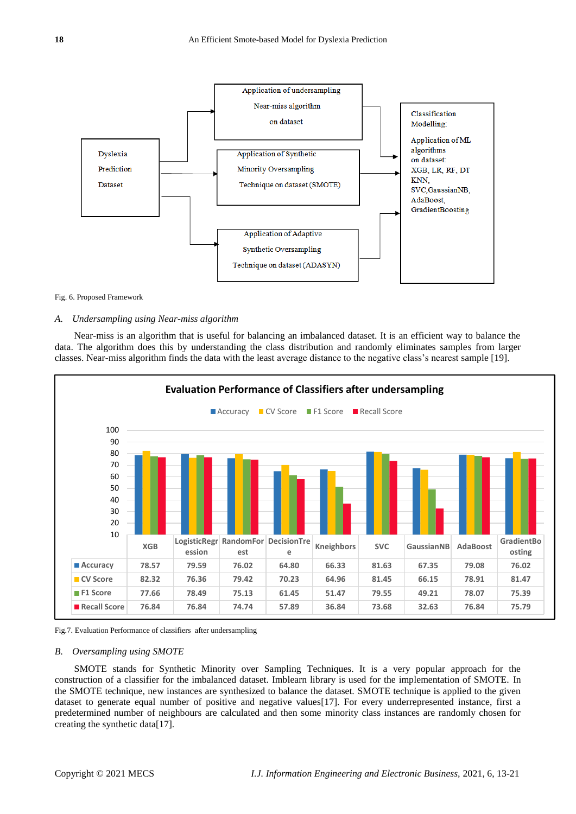

#### Fig. 6. Proposed Framework

#### *A. Undersampling using Near-miss algorithm*

Near-miss is an algorithm that is useful for balancing an imbalanced dataset. It is an efficient way to balance the data. The algorithm does this by understanding the class distribution and randomly eliminates samples from larger classes. Near-miss algorithm finds the data with the least average distance to the negative class"s nearest sample [19].



Fig.7. Evaluation Performance of classifiers after undersampling

## *B. Oversampling using SMOTE*

SMOTE stands for Synthetic Minority over Sampling Techniques. It is a very popular approach for the construction of a classifier for the imbalanced dataset. Imblearn library is used for the implementation of SMOTE. In the SMOTE technique, new instances are synthesized to balance the dataset. SMOTE technique is applied to the given dataset to generate equal number of positive and negative values[17]. For every underrepresented instance, first a predetermined number of neighbours are calculated and then some minority class instances are randomly chosen for creating the synthetic data[17].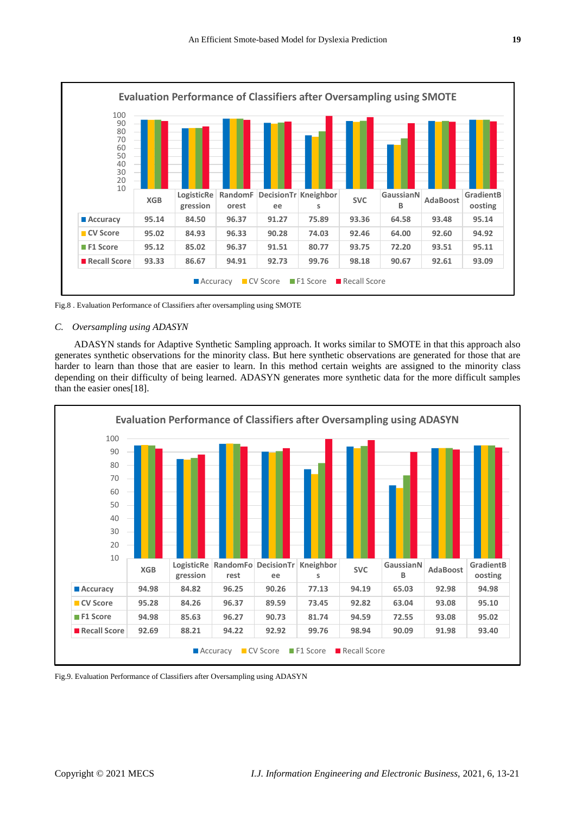

Fig.8 . Evaluation Performance of Classifiers after oversampling using SMOTE

#### *C. Oversampling using ADASYN*

ADASYN stands for Adaptive Synthetic Sampling approach. It works similar to SMOTE in that this approach also generates synthetic observations for the minority class. But here synthetic observations are generated for those that are harder to learn than those that are easier to learn. In this method certain weights are assigned to the minority class depending on their difficulty of being learned. ADASYN generates more synthetic data for the more difficult samples than the easier ones[18].



Fig.9. Evaluation Performance of Classifiers after Oversampling using ADASYN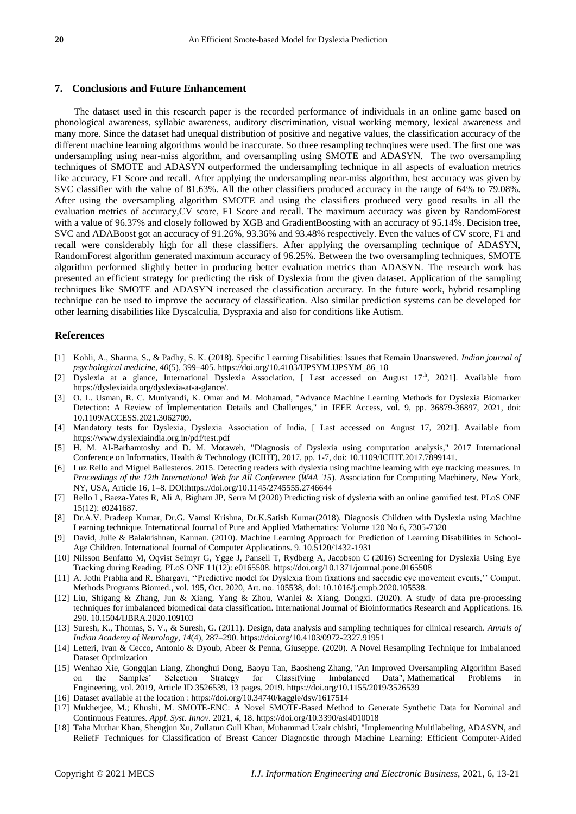#### **7. Conclusions and Future Enhancement**

The dataset used in this research paper is the recorded performance of individuals in an online game based on phonological awareness, syllabic awareness, auditory discrimination, visual working memory, lexical awareness and many more. Since the dataset had unequal distribution of positive and negative values, the classification accuracy of the different machine learning algorithms would be inaccurate. So three resampling technqiues were used. The first one was undersampling using near-miss algorithm, and oversampling using SMOTE and ADASYN. The two oversampling techniques of SMOTE and ADASYN outperformed the undersampling technique in all aspects of evaluation metrics like accuracy, F1 Score and recall. After applying the undersampling near-miss algorithm, best accuracy was given by SVC classifier with the value of 81.63%. All the other classifiers produced accuracy in the range of 64% to 79.08%. After using the oversampling algorithm SMOTE and using the classifiers produced very good results in all the evaluation metrics of accuracy,CV score, F1 Score and recall. The maximum accuracy was given by RandomForest with a value of 96.37% and closely followed by XGB and GradientBoosting with an accuracy of 95.14%. Decision tree, SVC and ADABoost got an accuracy of 91.26%, 93.36% and 93.48% respectively. Even the values of CV score, F1 and recall were considerably high for all these classifiers. After applying the oversampling technique of ADASYN, RandomForest algorithm generated maximum accuracy of 96.25%. Between the two oversampling techniques, SMOTE algorithm performed slightly better in producing better evaluation metrics than ADASYN. The research work has presented an efficient strategy for predicting the risk of Dyslexia from the given dataset. Application of the sampling techniques like SMOTE and ADASYN increased the classification accuracy. In the future work, hybrid resampling technique can be used to improve the accuracy of classification. Also similar prediction systems can be developed for other learning disabilities like Dyscalculia, Dyspraxia and also for conditions like Autism.

#### **References**

- [1] Kohli, A., Sharma, S., & Padhy, S. K. (2018). Specific Learning Disabilities: Issues that Remain Unanswered. *Indian journal of psychological medicine*, *40*(5), 399–405. [https://doi.org/10.4103/IJPSYM.IJPSYM\\_86\\_18](https://doi.org/10.4103/IJPSYM.IJPSYM_86_18)
- [2] Dyslexia at a glance, International Dyslexia Association, [ Last accessed on August 17<sup>th</sup>, 2021]. Available from [https://dyslexiaida.org/dyslexia-at-a-glance/.](https://dyslexiaida.org/dyslexia-at-a-glance/)
- [3] O. L. Usman, R. C. Muniyandi, K. Omar and M. Mohamad, "Advance Machine Learning Methods for Dyslexia Biomarker Detection: A Review of Implementation Details and Challenges," in IEEE Access, vol. 9, pp. 36879-36897, 2021, doi: 10.1109/ACCESS.2021.3062709.
- [4] Mandatory tests for Dyslexia, Dyslexia Association of India, [ Last accessed on August 17, 2021]. Available from <https://www.dyslexiaindia.org.in/pdf/test.pdf>
- [5] H. M. Al-Barhamtoshy and D. M. Motaweh, "Diagnosis of Dyslexia using computation analysis," 2017 International Conference on Informatics, Health & Technology (ICIHT), 2017, pp. 1-7, doi: 10.1109/ICIHT.2017.7899141.
- [6] Luz Rello and Miguel Ballesteros. 2015. Detecting readers with dyslexia using machine learning with eye tracking measures. In *Proceedings of the 12th International Web for All Conference* (*W4A '15*). Association for Computing Machinery, New York, NY, USA, Article 16, 1–8. DOI:https://doi.org/10.1145/2745555.2746644
- [7] Rello L, Baeza-Yates R, Ali A, Bigham JP, Serra M (2020) Predicting risk of dyslexia with an online gamified test. PLoS ONE 15(12): e0241687.
- [8] Dr.A.V. Pradeep Kumar, Dr.G. Vamsi Krishna, Dr.K.Satish Kumar(2018). Diagnosis Children with Dyslexia using Machine Learning technique. International Journal of Pure and Applied Mathematics: Volume 120 No 6, 7305-7320
- [9] David, Julie & Balakrishnan, Kannan. (2010). Machine Learning Approach for Prediction of Learning Disabilities in School-Age Children. International Journal of Computer Applications. 9. 10.5120/1432-1931
- [10] Nilsson Benfatto M, Öqvist Seimyr G, Ygge J, Pansell T, Rydberg A, Jacobson C (2016) Screening for Dyslexia Using Eye Tracking during Reading. PLoS ONE 11(12): e0165508. https://doi.org/10.1371/journal.pone.0165508
- [11] A. Jothi Prabha and R. Bhargavi, ""Predictive model for Dyslexia from fixations and saccadic eye movement events,"" Comput. Methods Programs Biomed., vol. 195, Oct. 2020, Art. no. 105538, doi: 10.1016/j.cmpb.2020.105538.
- [12] Liu, Shigang & Zhang, Jun & Xiang, Yang & Zhou, Wanlei & Xiang, Dongxi. (2020). A study of data pre-processing techniques for imbalanced biomedical data classification. International Journal of Bioinformatics Research and Applications. 16. 290. 10.1504/IJBRA.2020.109103
- [13] Suresh, K., Thomas, S. V., & Suresh, G. (2011). Design, data analysis and sampling techniques for clinical research. *Annals of Indian Academy of Neurology*, *14*(4), 287–290[. https://doi.org/10.4103/0972-2327.91951](https://doi.org/10.4103/0972-2327.91951)
- [14] Letteri, Ivan & Cecco, Antonio & Dyoub, Abeer & Penna, Giuseppe. (2020). A Novel Resampling Technique for Imbalanced Dataset Optimization
- [15] Wenhao Xie, Gongqian Liang, Zhonghui Dong, Baoyu Tan, Baosheng Zhang, "An Improved Oversampling Algorithm Based on the Samples" Selection Strategy for Classifying Imbalanced Data", Mathematical Problems in Engineering, vol. 2019, Article ID 3526539, 13 pages, 2019. <https://doi.org/10.1155/2019/3526539>
- [16] Dataset available at the location :<https://doi.org/10.34740/kaggle/dsv/1617514>
- [17] Mukherjee, M.; Khushi, M. SMOTE-ENC: A Novel SMOTE-Based Method to Generate Synthetic Data for Nominal and Continuous Features. *Appl. Syst. Innov.* 2021, *4*, 18[. https://doi.org/10.3390/asi4010018](https://doi.org/10.3390/asi4010018)
- [18] Taha Muthar Khan, Shengjun Xu, Zullatun Gull Khan, Muhammad Uzair chishti, "Implementing Multilabeling, ADASYN, and ReliefF Techniques for Classification of Breast Cancer Diagnostic through Machine Learning: Efficient Computer-Aided